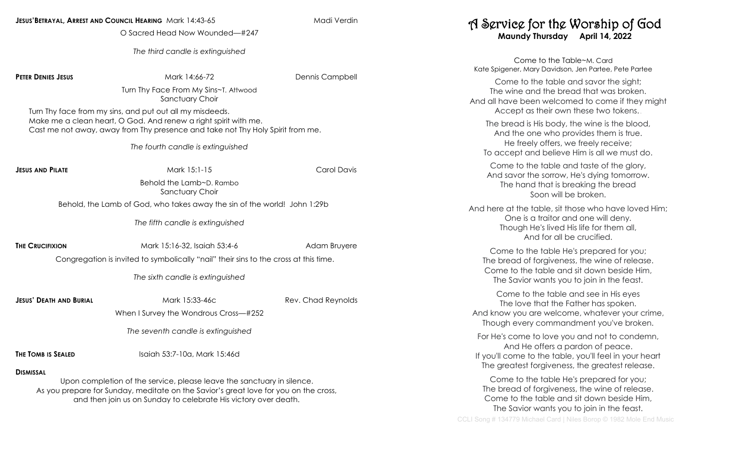| Jesus'Betrayal, Arrest and Council Hearing Mark 14:43-65 | Madi Verdin |
|----------------------------------------------------------|-------------|
|----------------------------------------------------------|-------------|

O Sacred Head Now Wounded—#247

*The third candle is extinguished*

**PETER DENIES JESUS Mark 14:66-72** Dennis Campbell

Turn Thy Face From My Sins~T. Attwood Sanctuary Choir

Turn Thy face from my sins, and put out all my misdeeds. Make me a clean heart, O God. And renew a right spirit with me. Cast me not away, away from Thy presence and take not Thy Holy Spirit from me.

*The fourth candle is extinguished* 

| <b>JESUS AND PILATE</b> |  |
|-------------------------|--|
|-------------------------|--|

**JESUS ESUS AND PILATE CARD PILATE CARD PILATE CARD PILATE** 

Behold the Lamb~D. Rambo Sanctuary Choir

Behold, the Lamb of God, who takes away the sin of the world! John 1:29b

*The fifth candle is extinguished*

| <b>THE CRUCIFIXION</b> |  |
|------------------------|--|
|                        |  |

**The Rucial State of the Control of the Control of the Control of the Control of the Control of the Control of Adam Bruyere** 

Congregation is invited to symbolically "nail" their sins to the cross at this time.

*The sixth candle is extinguished*

**JESUS' DEATH AND BURIAL** Mark 15:33-46c Rev. Chad Reynolds

When I Survey the Wondrous Cross—#252

*The seventh candle is extinguished*

**THE TOMB IS SEALED** Isaiah 53:7-10a, Mark 15:46d

## **DISMISSAL**

Upon completion of the service, please leave the sanctuary in silence. As you prepare for Sunday, meditate on the Savior's great love for you on the cross, and then join us on Sunday to celebrate His victory over death.

## A Service for the Worship of God **Maundy Thursday April 14, 2022**

Come to the Table~M. Card Kate Spigener, Mary Davidson, Jen Partee, Pete Partee

Come to the table and savor the sight; The wine and the bread that was broken. And all have been welcomed to come if they might Accept as their own these two tokens...

The bread is His body, the wine is the blood, And the one who provides them is true. He freely offers, we freely receive; To accept and believe Him is all we must do.

Come to the table and taste of the glory, And savor the sorrow, He's dying tomorrow. The hand that is breaking the bread Soon will be broken.

And here at the table, sit those who have loved Him; One is a traitor and one will deny. Though He's lived His life for them all, And for all be crucified.

Come to the table He's prepared for you; The bread of forgiveness, the wine of release. Come to the table and sit down beside Him, The Savior wants you to join in the feast.

Come to the table and see in His eyes The love that the Father has spoken. And know you are welcome, whatever your crime, Though every commandment you've broken.

For He's come to love you and not to condemn, And He offers a pardon of peace. If you'll come to the table, you'll feel in your heart The greatest forgiveness, the greatest release.

Come to the table He's prepared for you; The bread of forgiveness, the wine of release. Come to the table and sit down beside Him, The Savior wants you to join in the feast. CCLI Song # 134779 Michael Card | Niles Borop © 1982 Mole End Music